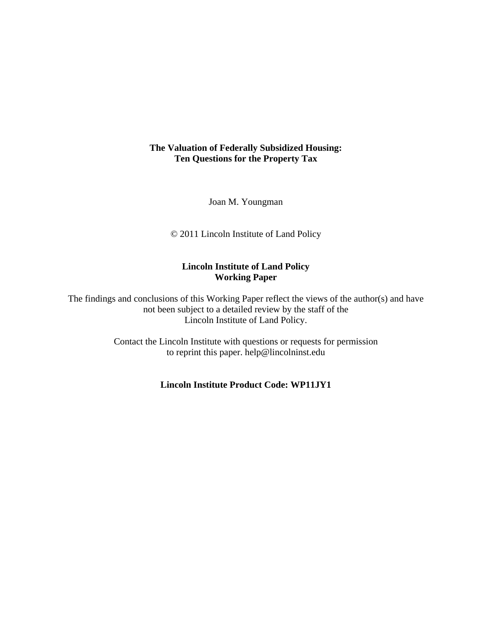## **The Valuation of Federally Subsidized Housing: Ten Questions for the Property Tax**

Joan M. Youngman

© 2011 Lincoln Institute of Land Policy

### **Lincoln Institute of Land Policy Working Paper**

The findings and conclusions of this Working Paper reflect the views of the author(s) and have not been subject to a detailed review by the staff of the Lincoln Institute of Land Policy.

> Contact the Lincoln Institute with questions or requests for permission to reprint this paper. help@lincolninst.edu

### **Lincoln Institute Product Code: WP11JY1**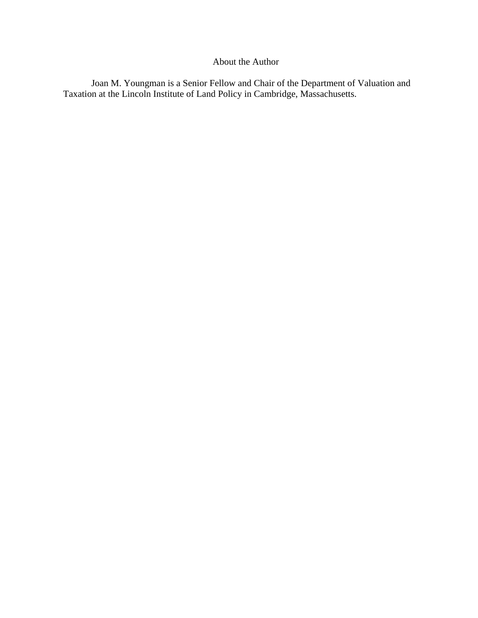## About the Author

Joan M. Youngman is a Senior Fellow and Chair of the Department of Valuation and Taxation at the Lincoln Institute of Land Policy in Cambridge, Massachusetts.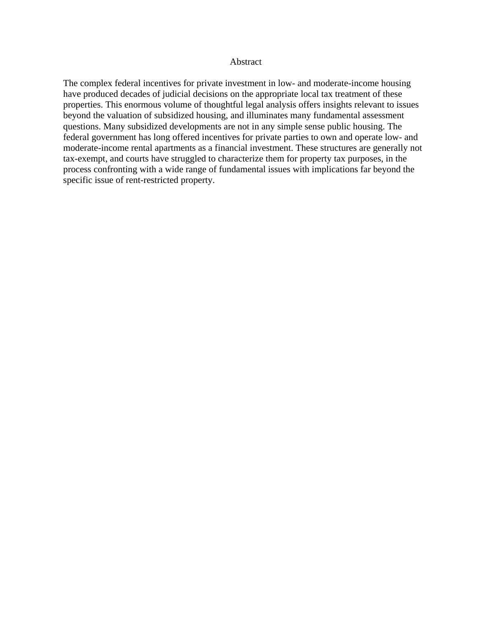#### Abstract

The complex federal incentives for private investment in low- and moderate-income housing have produced decades of judicial decisions on the appropriate local tax treatment of these properties. This enormous volume of thoughtful legal analysis offers insights relevant to issues beyond the valuation of subsidized housing, and illuminates many fundamental assessment questions. Many subsidized developments are not in any simple sense public housing. The federal government has long offered incentives for private parties to own and operate low- and moderate-income rental apartments as a financial investment. These structures are generally not tax-exempt, and courts have struggled to characterize them for property tax purposes, in the process confronting with a wide range of fundamental issues with implications far beyond the specific issue of rent-restricted property.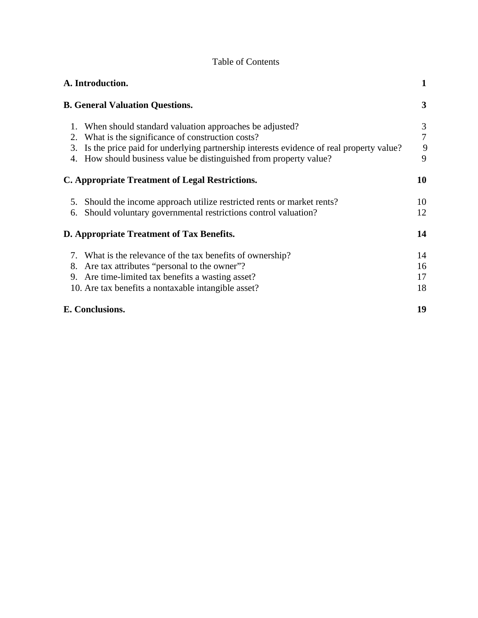# Table of Contents

|                                        | A. Introduction.                                                                        |    |
|----------------------------------------|-----------------------------------------------------------------------------------------|----|
| <b>B. General Valuation Questions.</b> |                                                                                         | 3  |
| 1.                                     | When should standard valuation approaches be adjusted?                                  | 3  |
| 2.                                     | What is the significance of construction costs?                                         | 7  |
| 3.                                     | Is the price paid for underlying partnership interests evidence of real property value? | 9  |
| 4.                                     | How should business value be distinguished from property value?                         | 9  |
|                                        | C. Appropriate Treatment of Legal Restrictions.                                         |    |
|                                        | 5. Should the income approach utilize restricted rents or market rents?                 | 10 |
| 6.                                     | Should voluntary governmental restrictions control valuation?                           | 12 |
|                                        | D. Appropriate Treatment of Tax Benefits.                                               | 14 |
|                                        | 7. What is the relevance of the tax benefits of ownership?                              | 14 |
| 8.                                     | Are tax attributes "personal to the owner"?                                             | 16 |
|                                        | 9. Are time-limited tax benefits a wasting asset?                                       | 17 |
|                                        | 10. Are tax benefits a nontaxable intangible asset?                                     | 18 |
|                                        | E. Conclusions.                                                                         |    |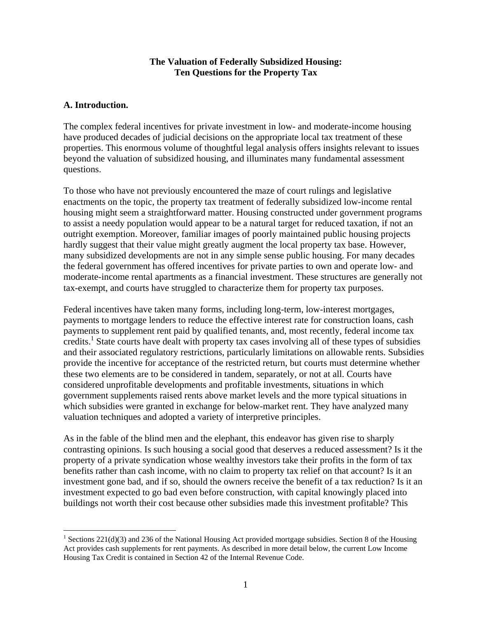### **The Valuation of Federally Subsidized Housing: Ten Questions for the Property Tax**

#### **A. Introduction.**

1

The complex federal incentives for private investment in low- and moderate-income housing have produced decades of judicial decisions on the appropriate local tax treatment of these properties. This enormous volume of thoughtful legal analysis offers insights relevant to issues beyond the valuation of subsidized housing, and illuminates many fundamental assessment questions.

To those who have not previously encountered the maze of court rulings and legislative enactments on the topic, the property tax treatment of federally subsidized low-income rental housing might seem a straightforward matter. Housing constructed under government programs to assist a needy population would appear to be a natural target for reduced taxation, if not an outright exemption. Moreover, familiar images of poorly maintained public housing projects hardly suggest that their value might greatly augment the local property tax base. However, many subsidized developments are not in any simple sense public housing. For many decades the federal government has offered incentives for private parties to own and operate low- and moderate-income rental apartments as a financial investment. These structures are generally not tax-exempt, and courts have struggled to characterize them for property tax purposes.

Federal incentives have taken many forms, including long-term, low-interest mortgages, payments to mortgage lenders to reduce the effective interest rate for construction loans, cash payments to supplement rent paid by qualified tenants, and, most recently, federal income tax credits.<sup>1</sup> State courts have dealt with property tax cases involving all of these types of subsidies and their associated regulatory restrictions, particularly limitations on allowable rents. Subsidies provide the incentive for acceptance of the restricted return, but courts must determine whether these two elements are to be considered in tandem, separately, or not at all. Courts have considered unprofitable developments and profitable investments, situations in which government supplements raised rents above market levels and the more typical situations in which subsidies were granted in exchange for below-market rent. They have analyzed many valuation techniques and adopted a variety of interpretive principles.

As in the fable of the blind men and the elephant, this endeavor has given rise to sharply contrasting opinions. Is such housing a social good that deserves a reduced assessment? Is it the property of a private syndication whose wealthy investors take their profits in the form of tax benefits rather than cash income, with no claim to property tax relief on that account? Is it an investment gone bad, and if so, should the owners receive the benefit of a tax reduction? Is it an investment expected to go bad even before construction, with capital knowingly placed into buildings not worth their cost because other subsidies made this investment profitable? This

<sup>&</sup>lt;sup>1</sup> Sections 221(d)(3) and 236 of the National Housing Act provided mortgage subsidies. Section 8 of the Housing Act provides cash supplements for rent payments. As described in more detail below, the current Low Income Housing Tax Credit is contained in Section 42 of the Internal Revenue Code.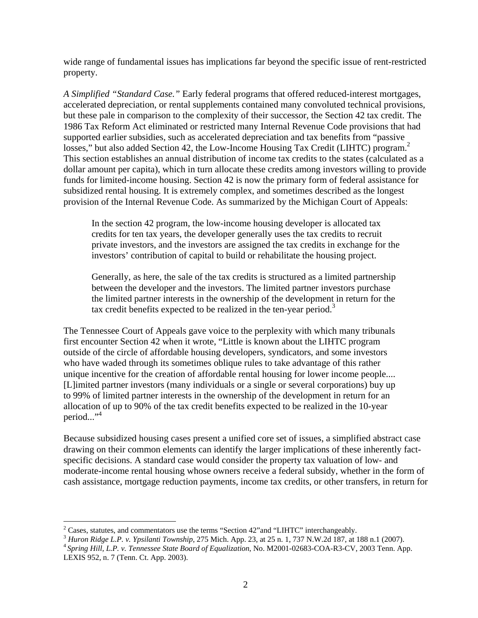wide range of fundamental issues has implications far beyond the specific issue of rent-restricted property.

*A Simplified "Standard Case."* Early federal programs that offered reduced-interest mortgages, accelerated depreciation, or rental supplements contained many convoluted technical provisions, but these pale in comparison to the complexity of their successor, the Section 42 tax credit. The 1986 Tax Reform Act eliminated or restricted many Internal Revenue Code provisions that had supported earlier subsidies, such as accelerated depreciation and tax benefits from "passive losses," but also added Section 42, the Low-Income Housing Tax Credit (LIHTC) program. $^2$ This section establishes an annual distribution of income tax credits to the states (calculated as a dollar amount per capita), which in turn allocate these credits among investors willing to provide funds for limited-income housing. Section 42 is now the primary form of federal assistance for subsidized rental housing. It is extremely complex, and sometimes described as the longest provision of the Internal Revenue Code. As summarized by the Michigan Court of Appeals:

In the section 42 program, the low-income housing developer is allocated tax credits for ten tax years, the developer generally uses the tax credits to recruit private investors, and the investors are assigned the tax credits in exchange for the investors' contribution of capital to build or rehabilitate the housing project.

Generally, as here, the sale of the tax credits is structured as a limited partnership between the developer and the investors. The limited partner investors purchase the limited partner interests in the ownership of the development in return for the tax credit benefits expected to be realized in the ten-year period.<sup>3</sup>

The Tennessee Court of Appeals gave voice to the perplexity with which many tribunals first encounter Section 42 when it wrote, "Little is known about the LIHTC program outside of the circle of affordable housing developers, syndicators, and some investors who have waded through its sometimes oblique rules to take advantage of this rather unique incentive for the creation of affordable rental housing for lower income people.... [L]imited partner investors (many individuals or a single or several corporations) buy up to 99% of limited partner interests in the ownership of the development in return for an allocation of up to 90% of the tax credit benefits expected to be realized in the 10-year period $\cdots$ <sup>4</sup>

Because subsidized housing cases present a unified core set of issues, a simplified abstract case drawing on their common elements can identify the larger implications of these inherently factspecific decisions. A standard case would consider the property tax valuation of low- and moderate-income rental housing whose owners receive a federal subsidy, whether in the form of cash assistance, mortgage reduction payments, income tax credits, or other transfers, in return for

<u>.</u>

 $2^{\circ}$  Cases, statutes, and commentators use the terms "Section 42" and "LIHTC" interchangeably.

<sup>&</sup>lt;sup>3</sup> Huron Ridge L.P. v. Ypsilanti Township, 275 Mich. App. 23, at 25 n. 1, 737 N.W.2d 187, at 188 n.1 (2007).<br><sup>4</sup> Spring Hill, L.P. v. Tennessee State Board of Equalization, No. M2001-02683-COA-R3-CV, 2003 Tenn. App.

LEXIS 952, n. 7 (Tenn. Ct. App. 2003).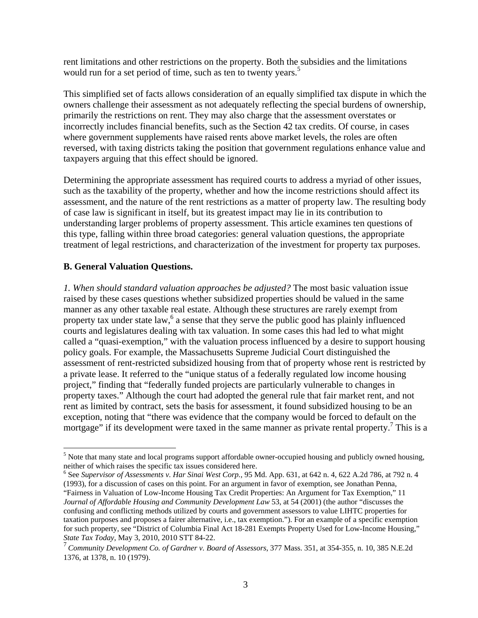rent limitations and other restrictions on the property. Both the subsidies and the limitations would run for a set period of time, such as ten to twenty years.<sup>5</sup>

This simplified set of facts allows consideration of an equally simplified tax dispute in which the owners challenge their assessment as not adequately reflecting the special burdens of ownership, primarily the restrictions on rent. They may also charge that the assessment overstates or incorrectly includes financial benefits, such as the Section 42 tax credits. Of course, in cases where government supplements have raised rents above market levels, the roles are often reversed, with taxing districts taking the position that government regulations enhance value and taxpayers arguing that this effect should be ignored.

Determining the appropriate assessment has required courts to address a myriad of other issues, such as the taxability of the property, whether and how the income restrictions should affect its assessment, and the nature of the rent restrictions as a matter of property law. The resulting body of case law is significant in itself, but its greatest impact may lie in its contribution to understanding larger problems of property assessment. This article examines ten questions of this type, falling within three broad categories: general valuation questions, the appropriate treatment of legal restrictions, and characterization of the investment for property tax purposes.

## **B. General Valuation Questions.**

1

*1. When should standard valuation approaches be adjusted?* The most basic valuation issue raised by these cases questions whether subsidized properties should be valued in the same manner as any other taxable real estate. Although these structures are rarely exempt from property tax under state law,  $6$  a sense that they serve the public good has plainly influenced courts and legislatures dealing with tax valuation. In some cases this had led to what might called a "quasi-exemption," with the valuation process influenced by a desire to support housing policy goals. For example, the Massachusetts Supreme Judicial Court distinguished the assessment of rent-restricted subsidized housing from that of property whose rent is restricted by a private lease. It referred to the "unique status of a federally regulated low income housing project," finding that "federally funded projects are particularly vulnerable to changes in property taxes." Although the court had adopted the general rule that fair market rent, and not rent as limited by contract, sets the basis for assessment, it found subsidized housing to be an exception, noting that "there was evidence that the company would be forced to default on the mortgage" if its development were taxed in the same manner as private rental property.<sup>7</sup> This is a

 See *Supervisor of Assessments v. Har Sinai West Corp.*, 95 Md. App. 631, at 642 n. 4, 622 A.2d 786, at 792 n. 4 (1993), for a discussion of cases on this point. For an argument in favor of exemption, see Jonathan Penna,

<sup>&</sup>lt;sup>5</sup> Note that many state and local programs support affordable owner-occupied housing and publicly owned housing, neither of which raises the specific tax issues considered here. 6

<sup>&</sup>quot;Fairness in Valuation of Low-Income Housing Tax Credit Properties: An Argument for Tax Exemption," 11 *Journal of Affordable Housing and Community Development Law* 53, at 54 (2001) (the author "discusses the confusing and conflicting methods utilized by courts and government assessors to value LIHTC properties for taxation purposes and proposes a fairer alternative, i.e., tax exemption."). For an example of a specific exemption for such property, see "District of Columbia Final Act 18-281 Exempts Property Used for Low-Income Housing," *State Tax Today*, May 3, 2010, 2010 STT 84-22.

<sup>7</sup>*Community Development Co. of Gardner v. Board of Assessors*, 377 Mass. 351, at 354-355, n. 10, 385 N.E.2d 1376, at 1378, n. 10 (1979).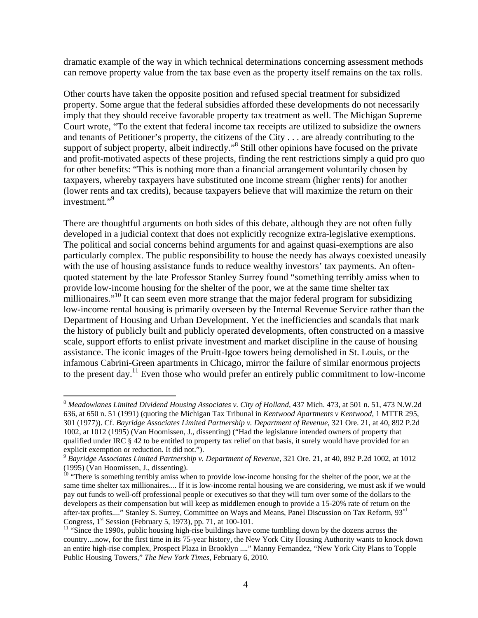dramatic example of the way in which technical determinations concerning assessment methods can remove property value from the tax base even as the property itself remains on the tax rolls.

Other courts have taken the opposite position and refused special treatment for subsidized property. Some argue that the federal subsidies afforded these developments do not necessarily imply that they should receive favorable property tax treatment as well. The Michigan Supreme Court wrote, "To the extent that federal income tax receipts are utilized to subsidize the owners and tenants of Petitioner's property, the citizens of the City . . . are already contributing to the support of subject property, albeit indirectly."<sup>8</sup> Still other opinions have focused on the private and profit-motivated aspects of these projects, finding the rent restrictions simply a quid pro quo for other benefits: "This is nothing more than a financial arrangement voluntarily chosen by taxpayers, whereby taxpayers have substituted one income stream (higher rents) for another (lower rents and tax credits), because taxpayers believe that will maximize the return on their investment."<sup>9</sup>

There are thoughtful arguments on both sides of this debate, although they are not often fully developed in a judicial context that does not explicitly recognize extra-legislative exemptions. The political and social concerns behind arguments for and against quasi-exemptions are also particularly complex. The public responsibility to house the needy has always coexisted uneasily with the use of housing assistance funds to reduce wealthy investors' tax payments. An oftenquoted statement by the late Professor Stanley Surrey found "something terribly amiss when to provide low-income housing for the shelter of the poor, we at the same time shelter tax millionaires."<sup>10</sup> It can seem even more strange that the major federal program for subsidizing low-income rental housing is primarily overseen by the Internal Revenue Service rather than the Department of Housing and Urban Development. Yet the inefficiencies and scandals that mark the history of publicly built and publicly operated developments, often constructed on a massive scale, support efforts to enlist private investment and market discipline in the cause of housing assistance. The iconic images of the Pruitt-Igoe towers being demolished in St. Louis, or the infamous Cabrini-Green apartments in Chicago, mirror the failure of similar enormous projects to the present day.<sup>11</sup> Even those who would prefer an entirely public commitment to low-income

<sup>8</sup> *Meadowlanes Limited Dividend Housing Associates v. City of Holland*, 437 Mich. 473, at 501 n. 51, 473 N.W.2d 636, at 650 n. 51 (1991) (quoting the Michigan Tax Tribunal in *Kentwood Apartments v Kentwood*, 1 MTTR 295, 301 (1977)). Cf. *Bayridge Associates Limited Partnership v. Department of Revenue*, 321 Ore. 21, at 40, 892 P.2d 1002, at 1012 (1995) (Van Hoomissen, J., dissenting) ("Had the legislature intended owners of property that qualified under IRC § 42 to be entitled to property tax relief on that basis, it surely would have provided for an explicit exemption or reduction. It did not.").

<sup>9</sup> *Bayridge Associates Limited Partnership v. Department of Revenue*, 321 Ore. 21, at 40, 892 P.2d 1002, at 1012 (1995) (Van Hoomissen, J., dissenting).

<sup>&</sup>lt;sup>10</sup> "There is something terribly amiss when to provide low-income housing for the shelter of the poor, we at the same time shelter tax millionaires.... If it is low-income rental housing we are considering, we must ask if we would pay out funds to well-off professional people or executives so that they will turn over some of the dollars to the developers as their compensation but will keep as middlemen enough to provide a 15-20% rate of return on the after-tax profits...." Stanley S. Surrey, Committee on Ways and Means, Panel Discussion on Tax Reform, 93<sup>rd</sup>

Congress,  $1^{st}$  Session (February 5, 1973), pp. 71, at 100-101.<br><sup>11</sup> "Since the 1990s, public housing high-rise buildings have come tumbling down by the dozens across the country....now, for the first time in its 75-year history, the New York City Housing Authority wants to knock down an entire high-rise complex, Prospect Plaza in Brooklyn ...." Manny Fernandez, "New York City Plans to Topple Public Housing Towers," *The New York Times*, February 6, 2010.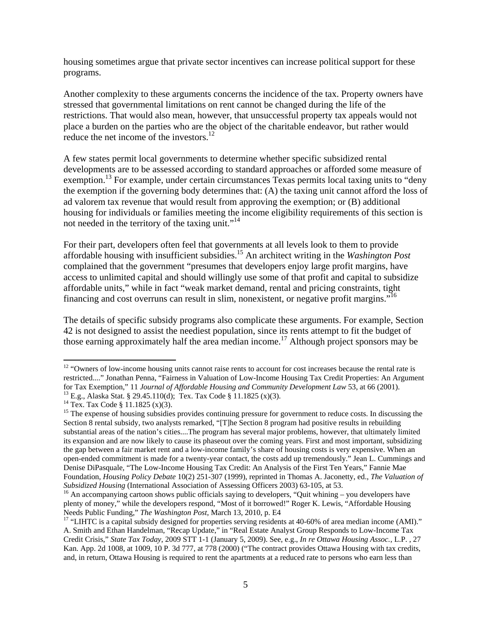housing sometimes argue that private sector incentives can increase political support for these programs.

Another complexity to these arguments concerns the incidence of the tax. Property owners have stressed that governmental limitations on rent cannot be changed during the life of the restrictions. That would also mean, however, that unsuccessful property tax appeals would not place a burden on the parties who are the object of the charitable endeavor, but rather would reduce the net income of the investors.<sup>12</sup>

A few states permit local governments to determine whether specific subsidized rental developments are to be assessed according to standard approaches or afforded some measure of exemption.<sup>13</sup> For example, under certain circumstances Texas permits local taxing units to "deny" the exemption if the governing body determines that: (A) the taxing unit cannot afford the loss of ad valorem tax revenue that would result from approving the exemption; or (B) additional housing for individuals or families meeting the income eligibility requirements of this section is not needed in the territory of the taxing unit."<sup>14</sup>

For their part, developers often feel that governments at all levels look to them to provide affordable housing with insufficient subsidies.15 An architect writing in the *Washington Post* complained that the government "presumes that developers enjoy large profit margins, have access to unlimited capital and should willingly use some of that profit and capital to subsidize affordable units," while in fact "weak market demand, rental and pricing constraints, tight financing and cost overruns can result in slim, nonexistent, or negative profit margins."<sup>16</sup>

The details of specific subsidy programs also complicate these arguments. For example, Section 42 is not designed to assist the neediest population, since its rents attempt to fit the budget of those earning approximately half the area median income.<sup>17</sup> Although project sponsors may be

 $12$  "Owners of low-income housing units cannot raise rents to account for cost increases because the rental rate is restricted...." Jonathan Penna, "Fairness in Valuation of Low-Income Housing Tax Credit Properties: An Argument for Tax Exemption," 11 *Journal of Affordable Housing and Community Development Law* 53, at 66 (2001). 13 E.g., Alaska Stat. § 29.45.110(d); Tex. Tax Code § 11.1825 (x)(3).

 $14$  Tex. Tax Code § 11.1825 (x)(3).

<sup>&</sup>lt;sup>15</sup> The expense of housing subsidies provides continuing pressure for government to reduce costs. In discussing the Section 8 rental subsidy, two analysts remarked, "[T]he Section 8 program had positive results in rebuilding substantial areas of the nation's cities....The program has several major problems, however, that ultimately limited its expansion and are now likely to cause its phaseout over the coming years. First and most important, subsidizing the gap between a fair market rent and a low-income family's share of housing costs is very expensive. When an open-ended commitment is made for a twenty-year contact, the costs add up tremendously." Jean L. Cummings and Denise DiPasquale, "The Low-Income Housing Tax Credit: An Analysis of the First Ten Years," Fannie Mae Foundation, *Housing Policy Debate* 10(2) 251-307 (1999), reprinted in Thomas A. Jaconetty, ed., *The Valuation of Subsidized Housing* (International Association of Assessing Officers 2003) 63-105, at 53.<br><sup>16</sup> An accompanying cartoon shows public officials saying to developers, "Quit whining – you developers have

plenty of money," while the developers respond, "Most of it borrowed!" Roger K. Lewis, "Affordable Housing<br>Needs Public Funding," The Washington Post, March 13, 2010, p. E4

<sup>&</sup>lt;sup>17</sup> "LIHTC is a capital subsidy designed for properties serving residents at 40-60% of area median income (AMI)." A. Smith and Ethan Handelman, "Recap Update," in "Real Estate Analyst Group Responds to Low-Income Tax Credit Crisis," *State Tax Today*, 2009 STT 1-1 (January 5, 2009). See, e.g., *In re Ottawa Housing Assoc.*, L.P. , 27 Kan. App. 2d 1008, at 1009, 10 P. 3d 777, at 778 (2000) ("The contract provides Ottawa Housing with tax credits, and, in return, Ottawa Housing is required to rent the apartments at a reduced rate to persons who earn less than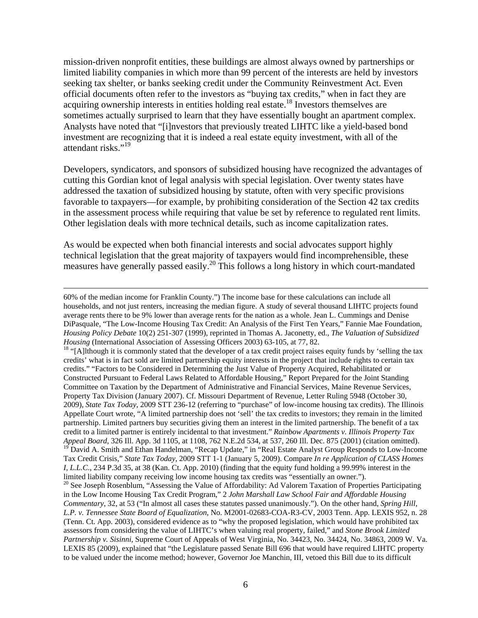mission-driven nonprofit entities, these buildings are almost always owned by partnerships or limited liability companies in which more than 99 percent of the interests are held by investors seeking tax shelter, or banks seeking credit under the Community Reinvestment Act. Even official documents often refer to the investors as "buying tax credits," when in fact they are acquiring ownership interests in entities holding real estate.<sup>18</sup> Investors themselves are sometimes actually surprised to learn that they have essentially bought an apartment complex. Analysts have noted that "[i]nvestors that previously treated LIHTC like a yield-based bond investment are recognizing that it is indeed a real estate equity investment, with all of the attendant risks."<sup>19</sup>

Developers, syndicators, and sponsors of subsidized housing have recognized the advantages of cutting this Gordian knot of legal analysis with special legislation. Over twenty states have addressed the taxation of subsidized housing by statute, often with very specific provisions favorable to taxpayers—for example, by prohibiting consideration of the Section 42 tax credits in the assessment process while requiring that value be set by reference to regulated rent limits. Other legislation deals with more technical details, such as income capitalization rates.

As would be expected when both financial interests and social advocates support highly technical legislation that the great majority of taxpayers would find incomprehensible, these measures have generally passed easily.20 This follows a long history in which court-mandated

to be valued under the income method; however, Governor Joe Manchin, III, vetoed this Bill due to its difficult

 <sup>60%</sup> of the median income for Franklin County.") The income base for these calculations can include all households, and not just renters, increasing the median figure. A study of several thousand LIHTC projects found average rents there to be 9% lower than average rents for the nation as a whole. Jean L. Cummings and Denise DiPasquale, "The Low-Income Housing Tax Credit: An Analysis of the First Ten Years," Fannie Mae Foundation, *Housing Policy Debate* 10(2) 251-307 (1999), reprinted in Thomas A. Jaconetty, ed., *The Valuation of Subsidized* 

*Housing* (International Association of Assessing Officers 2003) 63-105, at 77, 82.<br><sup>18</sup> "[A]lthough it is commonly stated that the developer of a tax credit project raises equity funds by 'selling the tax credits' what is in fact sold are limited partnership equity interests in the project that include rights to certain tax credits." "Factors to be Considered in Determining the Just Value of Property Acquired, Rehabilitated or Constructed Pursuant to Federal Laws Related to Affordable Housing," Report Prepared for the Joint Standing Committee on Taxation by the Department of Administrative and Financial Services, Maine Revenue Services, Property Tax Division (January 2007). Cf. Missouri Department of Revenue, Letter Ruling 5948 (October 30, 2009), *State Tax Today*, 2009 STT 236-12 (referring to "purchase" of low-income housing tax credits). The Illinois Appellate Court wrote, "A limited partnership does not 'sell' the tax credits to investors; they remain in the limited partnership. Limited partners buy securities giving them an interest in the limited partnership. The benefit of a tax credit to a limited partner is entirely incidental to that investment." *Rainbow Apartments v. Illinois Property Tax Appeal Board*, 326 Ill. App. 3d 1105, at 1108, 762 N.E.2d 534, at 537, 260 Ill. Dec. 875 (2001) (citation omitted). <sup>19</sup> David A. Smith and Ethan Handelman, "Recap Update," in "Real Estate Analyst Group Responds to Low-Income Tax Credit Crisis," *State Tax Today*, 2009 STT 1-1 (January 5, 2009). Compare *In re Application of CLASS Homes I, L.L.C*., 234 P.3d 35, at 38 (Kan. Ct. App. 2010) (finding that the equity fund holding a 99.99% interest in the limited liability company receiving low income housing tax credits was "essentially an owner."). <sup>20</sup> See Joseph Rosenblum, "Assessing the Value of Affordability: Ad Valorem Taxation of Properties Participating in the Low Income Housing Tax Credit Program," 2 *John Marshall Law School Fair and Affordable Housing Commentary*, 32, at 53 ("In almost all cases these statutes passed unanimously."). On the other hand, *Spring Hill, L.P. v. Tennessee State Board of Equalization*, No. M2001-02683-COA-R3-CV, 2003 Tenn. App. LEXIS 952, n. 28 (Tenn. Ct. App. 2003), considered evidence as to "why the proposed legislation, which would have prohibited tax assessors from considering the value of LIHTC's when valuing real property, failed," and *Stone Brook Limited Partnership v. Sisinni*, Supreme Court of Appeals of West Virginia, No. 34423, No. 34424, No. 34863, 2009 W. Va. LEXIS 85 (2009), explained that "the Legislature passed Senate Bill 696 that would have required LIHTC property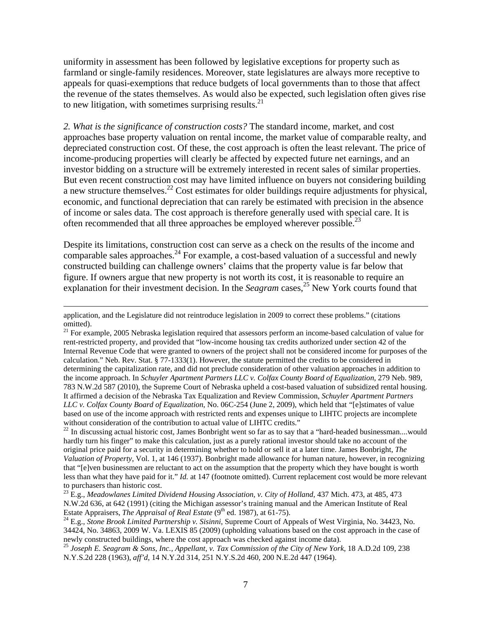uniformity in assessment has been followed by legislative exceptions for property such as farmland or single-family residences. Moreover, state legislatures are always more receptive to appeals for quasi-exemptions that reduce budgets of local governments than to those that affect the revenue of the states themselves. As would also be expected, such legislation often gives rise to new litigation, with sometimes surprising results. $^{21}$ 

*2. What is the significance of construction costs?* The standard income, market, and cost approaches base property valuation on rental income, the market value of comparable realty, and depreciated construction cost. Of these, the cost approach is often the least relevant. The price of income-producing properties will clearly be affected by expected future net earnings, and an investor bidding on a structure will be extremely interested in recent sales of similar properties. But even recent construction cost may have limited influence on buyers not considering building a new structure themselves.<sup>22</sup> Cost estimates for older buildings require adjustments for physical, economic, and functional depreciation that can rarely be estimated with precision in the absence of income or sales data. The cost approach is therefore generally used with special care. It is often recommended that all three approaches be employed wherever possible.<sup>23</sup>

Despite its limitations, construction cost can serve as a check on the results of the income and comparable sales approaches.<sup>24</sup> For example, a cost-based valuation of a successful and newly constructed building can challenge owners' claims that the property value is far below that figure. If owners argue that new property is not worth its cost, it is reasonable to require an explanation for their investment decision. In the *Seagram* cases,<sup>25</sup> New York courts found that

hardly turn his finger" to make this calculation, just as a purely rational investor should take no account of the original price paid for a security in determining whether to hold or sell it at a later time. James Bonbright, *The Valuation of Property*, Vol. 1, at 146 (1937). Bonbright made allowance for human nature, however, in recognizing that "[e]ven businessmen are reluctant to act on the assumption that the property which they have bought is worth less than what they have paid for it." *Id.* at 147 (footnote omitted). Current replacement cost would be more relevant to purchasers than historic cost.

application, and the Legislature did not reintroduce legislation in 2009 to correct these problems." (citations omitted).

 $21$  For example, 2005 Nebraska legislation required that assessors perform an income-based calculation of value for rent-restricted property, and provided that "low-income housing tax credits authorized under section 42 of the Internal Revenue Code that were granted to owners of the project shall not be considered income for purposes of the calculation." Neb. Rev. Stat. § 77-1333(1). However, the statute permitted the credits to be considered in determining the capitalization rate, and did not preclude consideration of other valuation approaches in addition to the income approach. In *Schuyler Apartment Partners LLC v. Colfax County Board of Equalization*, 279 Neb. 989, 783 N.W.2d 587 (2010), the Supreme Court of Nebraska upheld a cost-based valuation of subsidized rental housing. It affirmed a decision of the Nebraska Tax Equalization and Review Commission, *Schuyler Apartment Partners LLC v. Colfax County Board of Equalization*, No. 06C-254 (June 2, 2009), which held that "[e]stimates of value based on use of the income approach with restricted rents and expenses unique to LIHTC projects are incomplete without consideration of the contribution to actual value of LIHTC credits."<br><sup>22</sup> In discussing actual historic cost, James Bonbright went so far as to say that a "hard-headed businessman....would

<sup>23</sup> E.g., *Meadowlanes Limited Dividend Housing Association, v. City of Holland*, 437 Mich. 473, at 485, 473 N.W.2d 636, at 642 (1991) (citing the Michigan assessor's training manual and the American Institute of Real<br>Estate Appraisers, *The Appraisal of Real Estate* (9<sup>th</sup> ed. 1987), at 61-75).

<sup>&</sup>lt;sup>24</sup> E.g., *Stone Brook Limited Partnership v. Sisinni*, Supreme Court of Appeals of West Virginia, No. 34423, No. 34424, No. 34863, 2009 W. Va. LEXIS 85 (2009) (upholding valuations based on the cost approach in the case of newly constructed buildings, where the cost approach was checked against income data). 25 *Joseph E. Seagram & Sons, Inc., Appellant, v. Tax Commission of the City of New York*, 18 A.D.2d 109, 238

N.Y.S.2d 228 (1963), *aff'd*, 14 N.Y.2d 314, 251 N.Y.S.2d 460, 200 N.E.2d 447 (1964).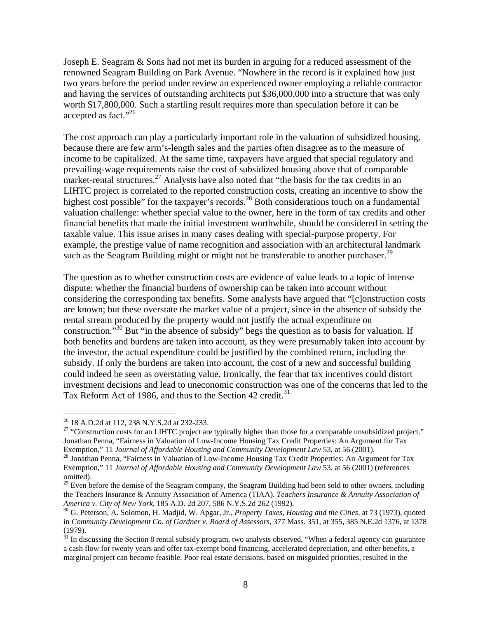Joseph E. Seagram & Sons had not met its burden in arguing for a reduced assessment of the renowned Seagram Building on Park Avenue. "Nowhere in the record is it explained how just two years before the period under review an experienced owner employing a reliable contractor and having the services of outstanding architects put \$36,000,000 into a structure that was only worth \$17,800,000. Such a startling result requires more than speculation before it can be accepted as fact."<sup>26</sup>

The cost approach can play a particularly important role in the valuation of subsidized housing, because there are few arm's-length sales and the parties often disagree as to the measure of income to be capitalized. At the same time, taxpayers have argued that special regulatory and prevailing-wage requirements raise the cost of subsidized housing above that of comparable market-rental structures.<sup>27</sup> Analysts have also noted that "the basis for the tax credits in an LIHTC project is correlated to the reported construction costs, creating an incentive to show the highest cost possible" for the taxpayer's records.<sup>28</sup> Both considerations touch on a fundamental valuation challenge: whether special value to the owner, here in the form of tax credits and other financial benefits that made the initial investment worthwhile, should be considered in setting the taxable value. This issue arises in many cases dealing with special-purpose property. For example, the prestige value of name recognition and association with an architectural landmark such as the Seagram Building might or might not be transferable to another purchaser.<sup>29</sup>

The question as to whether construction costs are evidence of value leads to a topic of intense dispute: whether the financial burdens of ownership can be taken into account without considering the corresponding tax benefits. Some analysts have argued that "[c]onstruction costs are known; but these overstate the market value of a project, since in the absence of subsidy the rental stream produced by the property would not justify the actual expenditure on construction."30 But "in the absence of subsidy" begs the question as to basis for valuation. If both benefits and burdens are taken into account, as they were presumably taken into account by the investor, the actual expenditure could be justified by the combined return, including the subsidy. If only the burdens are taken into account, the cost of a new and successful building could indeed be seen as overstating value. Ironically, the fear that tax incentives could distort investment decisions and lead to uneconomic construction was one of the concerns that led to the Tax Reform Act of 1986, and thus to the Section 42 credit.<sup>31</sup>

<sup>&</sup>lt;sup>26</sup> 18 A.D.2d at 112, 238 N.Y.S.2d at 232-233.

<sup>&</sup>lt;sup>27</sup> "Construction costs for an LIHTC project are typically higher than those for a comparable unsubsidized project." Jonathan Penna, "Fairness in Valuation of Low-Income Housing Tax Credit Properties: An Argument for Tax Exemption," 11 *Journal of Affordable Housing and Community Development Law* 53, at 56 (2001).<br><sup>28</sup> Jonathan Penna, "Fairness in Valuation of Low-Income Housing Tax Credit Properties: An Argument for Tax

Exemption," 11 *Journal of Affordable Housing and Community Development Law* 53, at 56 (2001) (references omitted).

 $29$  Even before the demise of the Seagram company, the Seagram Building had been sold to other owners, including the Teachers Insurance & Annuity Association of America (TIAA). *Teachers Insurance & Annuity Association of* 

<sup>&</sup>lt;sup>30</sup> G. Peterson, A. Solomon, H. Madjid, W. Apgar, Jr., *Property Taxes, Housing and the Cities*, at 73 (1973), quoted in *Community Development Co. of Gardner v. Board of Assessors*, 377 Mass. 351, at 355, 385 N.E.2d 1376, at 1378 (1979).

 $31$  In discussing the Section 8 rental subsidy program, two analysts observed, "When a federal agency can guarantee a cash flow for twenty years and offer tax-exempt bond financing, accelerated depreciation, and other benefits, a marginal project can become feasible. Poor real estate decisions, based on misguided priorities, resulted in the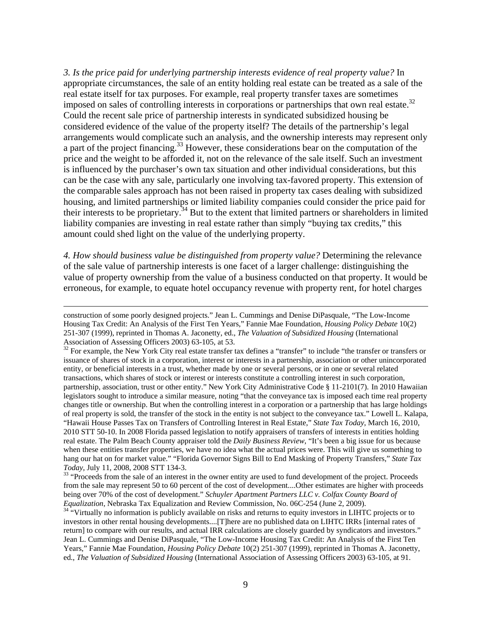*3. Is the price paid for underlying partnership interests evidence of real property value?* In appropriate circumstances, the sale of an entity holding real estate can be treated as a sale of the real estate itself for tax purposes. For example, real property transfer taxes are sometimes imposed on sales of controlling interests in corporations or partnerships that own real estate. $32$ Could the recent sale price of partnership interests in syndicated subsidized housing be considered evidence of the value of the property itself? The details of the partnership's legal arrangements would complicate such an analysis, and the ownership interests may represent only a part of the project financing.<sup>33</sup> However, these considerations bear on the computation of the price and the weight to be afforded it, not on the relevance of the sale itself. Such an investment is influenced by the purchaser's own tax situation and other individual considerations, but this can be the case with any sale, particularly one involving tax-favored property. This extension of the comparable sales approach has not been raised in property tax cases dealing with subsidized housing, and limited partnerships or limited liability companies could consider the price paid for their interests to be proprietary.<sup>34</sup> But to the extent that limited partners or shareholders in limited liability companies are investing in real estate rather than simply "buying tax credits," this amount could shed light on the value of the underlying property.

*4. How should business value be distinguished from property value?* Determining the relevance of the sale value of partnership interests is one facet of a larger challenge: distinguishing the value of property ownership from the value of a business conducted on that property. It would be erroneous, for example, to equate hotel occupancy revenue with property rent, for hotel charges

32 For example, the New York City real estate transfer tax defines a "transfer" to include "the transfer or transfers or issuance of shares of stock in a corporation, interest or interests in a partnership, association or other unincorporated entity, or beneficial interests in a trust, whether made by one or several persons, or in one or several related transactions, which shares of stock or interest or interests constitute a controlling interest in such corporation, partnership, association, trust or other entity." New York City Administrative Code § 11-2101(7). In 2010 Hawaiian legislators sought to introduce a similar measure, noting "that the conveyance tax is imposed each time real property changes title or ownership. But when the controlling interest in a corporation or a partnership that has large holdings of real property is sold, the transfer of the stock in the entity is not subject to the conveyance tax." Lowell L. Kalapa, "Hawaii House Passes Tax on Transfers of Controlling Interest in Real Estate," *State Tax Today*, March 16, 2010, 2010 STT 50-10. In 2008 Florida passed legislation to notify appraisers of transfers of interests in entities holding real estate. The Palm Beach County appraiser told the *Daily Business Review*, "It's been a big issue for us because when these entities transfer properties, we have no idea what the actual prices were. This will give us something to hang our hat on for market value." "Florida Governor Signs Bill to End Masking of Property Transfers," *State Tax* 

*Today*, July 11, 2008, 2008 STT 134-3.<br><sup>33</sup> "Proceeds from the sale of an interest in the owner entity are used to fund development of the project. Proceeds from the sale may represent 50 to 60 percent of the cost of development....Other estimates are higher with proceeds being over 70% of the cost of development." *Schuyler Apartment Partners LLC v. Colfax County Board of Equalization*, Nebraska Tax Equalization and Review Commission, No. 06C-254 (June 2, 2009).<br><sup>34</sup> "Virtually no information is publicly available on risks and returns to equity investors in LIHTC projects or to

investors in other rental housing developments....[T]here are no published data on LIHTC IRRs [internal rates of return] to compare with our results, and actual IRR calculations are closely guarded by syndicators and investors." Jean L. Cummings and Denise DiPasquale, "The Low-Income Housing Tax Credit: An Analysis of the First Ten Years," Fannie Mae Foundation, *Housing Policy Debate* 10(2) 251-307 (1999), reprinted in Thomas A. Jaconetty, ed., *The Valuation of Subsidized Housing* (International Association of Assessing Officers 2003) 63-105, at 91.

construction of some poorly designed projects." Jean L. Cummings and Denise DiPasquale, "The Low-Income Housing Tax Credit: An Analysis of the First Ten Years," Fannie Mae Foundation, *Housing Policy Debate* 10(2) 251-307 (1999), reprinted in Thomas A. Jaconetty, ed., *The Valuation of Subsidized Housing* (International Association of Assessing Officers 2003) 63-105, at 53.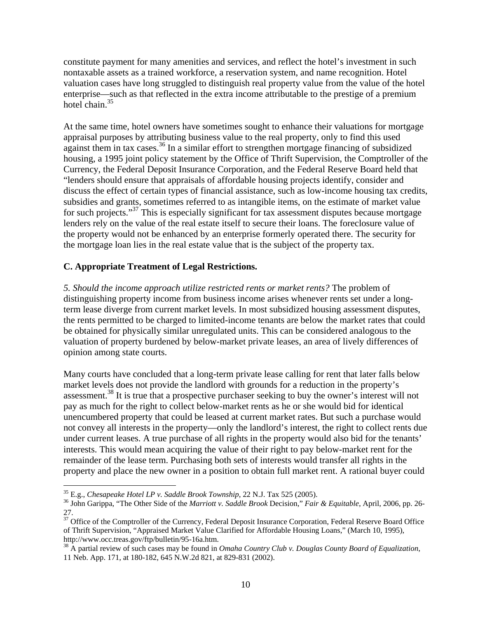constitute payment for many amenities and services, and reflect the hotel's investment in such nontaxable assets as a trained workforce, a reservation system, and name recognition. Hotel valuation cases have long struggled to distinguish real property value from the value of the hotel enterprise—such as that reflected in the extra income attributable to the prestige of a premium hotel chain $35$ 

At the same time, hotel owners have sometimes sought to enhance their valuations for mortgage appraisal purposes by attributing business value to the real property, only to find this used against them in tax cases.<sup>36</sup> In a similar effort to strengthen mortgage financing of subsidized housing, a 1995 joint policy statement by the Office of Thrift Supervision, the Comptroller of the Currency, the Federal Deposit Insurance Corporation, and the Federal Reserve Board held that "lenders should ensure that appraisals of affordable housing projects identify, consider and discuss the effect of certain types of financial assistance, such as low-income housing tax credits, subsidies and grants, sometimes referred to as intangible items, on the estimate of market value for such projects."<sup>37</sup> This is especially significant for tax assessment disputes because mortgage lenders rely on the value of the real estate itself to secure their loans. The foreclosure value of the property would not be enhanced by an enterprise formerly operated there. The security for the mortgage loan lies in the real estate value that is the subject of the property tax.

## **C. Appropriate Treatment of Legal Restrictions.**

*5. Should the income approach utilize restricted rents or market rents?* The problem of distinguishing property income from business income arises whenever rents set under a longterm lease diverge from current market levels. In most subsidized housing assessment disputes, the rents permitted to be charged to limited-income tenants are below the market rates that could be obtained for physically similar unregulated units. This can be considered analogous to the valuation of property burdened by below-market private leases, an area of lively differences of opinion among state courts.

Many courts have concluded that a long-term private lease calling for rent that later falls below market levels does not provide the landlord with grounds for a reduction in the property's assessment.<sup>38</sup> It is true that a prospective purchaser seeking to buy the owner's interest will not pay as much for the right to collect below-market rents as he or she would bid for identical unencumbered property that could be leased at current market rates. But such a purchase would not convey all interests in the property—only the landlord's interest, the right to collect rents due under current leases. A true purchase of all rights in the property would also bid for the tenants' interests. This would mean acquiring the value of their right to pay below-market rent for the remainder of the lease term. Purchasing both sets of interests would transfer all rights in the property and place the new owner in a position to obtain full market rent. A rational buyer could

<sup>&</sup>lt;sup>35</sup> E.g., *Chesapeake Hotel LP v. Saddle Brook Township*, 22 N.J. Tax 525 (2005).

<sup>&</sup>lt;sup>36</sup> John Garippa, "The Other Side of the *Marriott v. Saddle Brook* Decision," *Fair & Equitable*, April, 2006, pp. 26-27.

<sup>&</sup>lt;sup>37</sup> Office of the Comptroller of the Currency, Federal Deposit Insurance Corporation, Federal Reserve Board Office of Thrift Supervision, "Appraised Market Value Clarified for Affordable Housing Loans," (March 10, 1995), http://www.occ.treas.gov/ftp/bulletin/95-16a.htm.<br><sup>38</sup> A partial review of such cases may be found in *Omaha Country Club v. Douglas County Board of Equalization*,

<sup>11</sup> Neb. App. 171, at 180-182, 645 N.W.2d 821, at 829-831 (2002).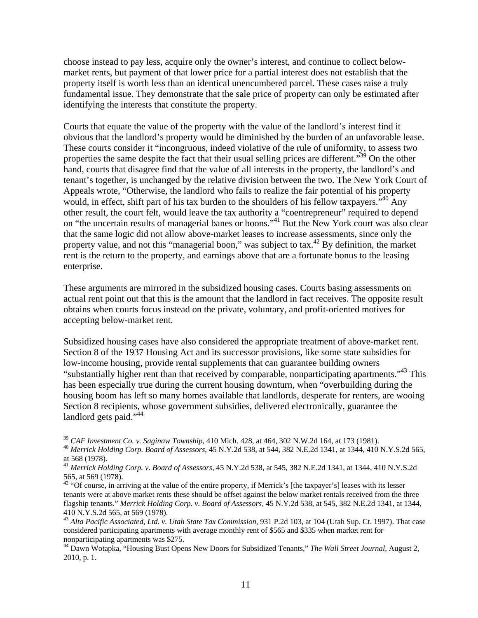choose instead to pay less, acquire only the owner's interest, and continue to collect belowmarket rents, but payment of that lower price for a partial interest does not establish that the property itself is worth less than an identical unencumbered parcel. These cases raise a truly fundamental issue. They demonstrate that the sale price of property can only be estimated after identifying the interests that constitute the property.

Courts that equate the value of the property with the value of the landlord's interest find it obvious that the landlord's property would be diminished by the burden of an unfavorable lease. These courts consider it "incongruous, indeed violative of the rule of uniformity, to assess two properties the same despite the fact that their usual selling prices are different."<sup>39</sup> On the other hand, courts that disagree find that the value of all interests in the property, the landlord's and tenant's together, is unchanged by the relative division between the two. The New York Court of Appeals wrote, "Otherwise, the landlord who fails to realize the fair potential of his property would, in effect, shift part of his tax burden to the shoulders of his fellow taxpayers."<sup>40</sup> Any other result, the court felt, would leave the tax authority a "coentrepreneur" required to depend on "the uncertain results of managerial banes or boons."41 But the New York court was also clear that the same logic did not allow above-market leases to increase assessments, since only the property value, and not this "managerial boon," was subject to tax.<sup>42</sup> By definition, the market rent is the return to the property, and earnings above that are a fortunate bonus to the leasing enterprise.

These arguments are mirrored in the subsidized housing cases. Courts basing assessments on actual rent point out that this is the amount that the landlord in fact receives. The opposite result obtains when courts focus instead on the private, voluntary, and profit-oriented motives for accepting below-market rent.

Subsidized housing cases have also considered the appropriate treatment of above-market rent. Section 8 of the 1937 Housing Act and its successor provisions, like some state subsidies for low-income housing, provide rental supplements that can guarantee building owners "substantially higher rent than that received by comparable, nonparticipating apartments."<sup>43</sup> This has been especially true during the current housing downturn, when "overbuilding during the housing boom has left so many homes available that landlords, desperate for renters, are wooing Section 8 recipients, whose government subsidies, delivered electronically, guarantee the landlord gets paid." $44$ 

<sup>&</sup>lt;sup>39</sup> *CAF Investment Co. v. Saginaw Township*, 410 Mich. 428, at 464, 302 N.W.2d 164, at 173 (1981).<br><sup>40</sup> *Merrick Holding Corp. Board of Assessors*, 45 N.Y.2d 538, at 544, 382 N.E.2d 1341, at 1344, 410 N.Y.S.2d 565, at 568 (1978).

<sup>41</sup> *Merrick Holding Corp. v. Board of Assessors*, 45 N.Y.2d 538, at 545, 382 N.E.2d 1341, at 1344, 410 N.Y.S.2d 565, at 569 (1978).

 $42$  "Of course, in arriving at the value of the entire property, if Merrick's [the taxpayer's] leases with its lesser tenants were at above market rents these should be offset against the below market rentals received from the three flagship tenants." *Merrick Holding Corp. v. Board of Assessors*, 45 N.Y.2d 538, at 545, 382 N.E.2d 1341, at 1344, 410 N.Y.S.2d 565, at 569 (1978).

<sup>43</sup> *Alta Pacific Associated, Ltd. v. Utah State Tax Commission*, 931 P.2d 103, at 104 (Utah Sup. Ct. 1997). That case considered participating apartments with average monthly rent of \$565 and \$335 when market rent for nonparticipating apartments was \$275.

<sup>44</sup> Dawn Wotapka, "Housing Bust Opens New Doors for Subsidized Tenants," *The Wall Street Journal*, August 2, 2010, p. 1.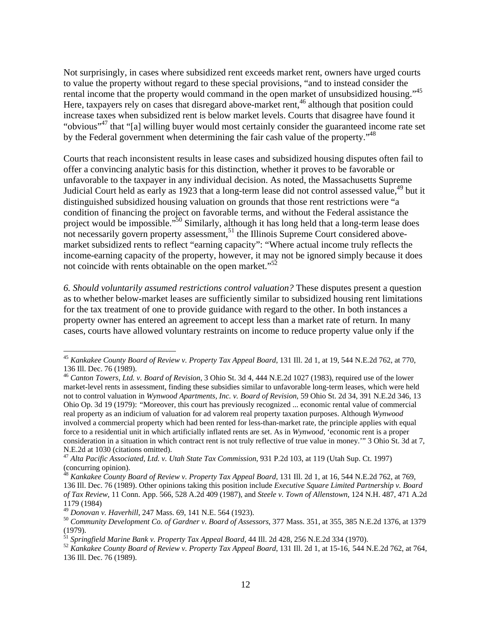Not surprisingly, in cases where subsidized rent exceeds market rent, owners have urged courts to value the property without regard to these special provisions, "and to instead consider the rental income that the property would command in the open market of unsubsidized housing."45 Here, taxpayers rely on cases that disregard above-market rent,  $46$  although that position could increase taxes when subsidized rent is below market levels. Courts that disagree have found it "obvious"<sup>47</sup> that "[a] willing buyer would most certainly consider the guaranteed income rate set by the Federal government when determining the fair cash value of the property."<sup>48</sup>

Courts that reach inconsistent results in lease cases and subsidized housing disputes often fail to offer a convincing analytic basis for this distinction, whether it proves to be favorable or unfavorable to the taxpayer in any individual decision. As noted, the Massachusetts Supreme Judicial Court held as early as 1923 that a long-term lease did not control assessed value,<sup>49</sup> but it distinguished subsidized housing valuation on grounds that those rent restrictions were "a condition of financing the project on favorable terms, and without the Federal assistance the project would be impossible."<sup>50</sup> Similarly, although it has long held that a long-term lease does not necessarily govern property assessment,<sup>51</sup> the Illinois Supreme Court considered abovemarket subsidized rents to reflect "earning capacity": "Where actual income truly reflects the income-earning capacity of the property, however, it may not be ignored simply because it does not coincide with rents obtainable on the open market."<sup>52</sup>

*6. Should voluntarily assumed restrictions control valuation?* These disputes present a question as to whether below-market leases are sufficiently similar to subsidized housing rent limitations for the tax treatment of one to provide guidance with regard to the other. In both instances a property owner has entered an agreement to accept less than a market rate of return. In many cases, courts have allowed voluntary restraints on income to reduce property value only if the

<sup>45</sup> *Kankakee County Board of Review v. Property Tax Appeal Board*, 131 Ill. 2d 1, at 19, 544 N.E.2d 762, at 770, 136 Ill. Dec. 76 (1989).

<sup>46</sup> *Canton Towers, Ltd. v. Board of Revision*, 3 Ohio St. 3d 4, 444 N.E.2d 1027 (1983), required use of the lower market-level rents in assessment, finding these subsidies similar to unfavorable long-term leases, which were held not to control valuation in *Wynwood Apartments, Inc. v. Board of Revision*, 59 Ohio St. 2d 34, 391 N.E.2d 346, 13 Ohio Op. 3d 19 (1979): "Moreover, this court has previously recognized ... economic rental value of commercial real property as an indicium of valuation for ad valorem real property taxation purposes. Although *Wynwood* involved a commercial property which had been rented for less-than-market rate, the principle applies with equal force to a residential unit in which artificially inflated rents are set. As in *Wynwood*, 'economic rent is a proper consideration in a situation in which contract rent is not truly reflective of true value in money.'" 3 Ohio St. 3d at 7, N.E.2d at 1030 (citations omitted).

<sup>47</sup> *Alta Pacific Associated, Ltd. v. Utah State Tax Commission*, 931 P.2d 103, at 119 (Utah Sup. Ct. 1997) (concurring opinion).

<sup>48</sup> *Kankakee County Board of Review v. Property Tax Appeal Board*, 131 Ill. 2d 1, at 16, 544 N.E.2d 762, at 769, 136 Ill. Dec. 76 (1989). Other opinions taking this position include *Executive Square Limited Partnership v. Board of Tax Review*, 11 Conn. App. 566, 528 A.2d 409 (1987), and *Steele v. Town of Allenstown*, 124 N.H. 487, 471 A.2d 1179 (1984)<br><sup>49</sup> Donovan v. Haverhill, 247 Mass. 69, 141 N.E. 564 (1923).

<sup>&</sup>lt;sup>50</sup> Community Development Co. of Gardner v. Board of Assessors, 377 Mass. 351, at 355, 385 N.E.2d 1376, at 1379 (1979).<br><sup>51</sup> Springfield Marine Bank v. Property Tax Appeal Board, 44 Ill. 2d 428, 256 N.E.2d 334 (1970).

<sup>&</sup>lt;sup>52</sup> Kankakee County Board of Review v. Property Tax Appeal Board, 131 Ill. 2d 1, at 15-16, 544 N.E.2d 762, at 764, 136 Ill. Dec. 76 (1989).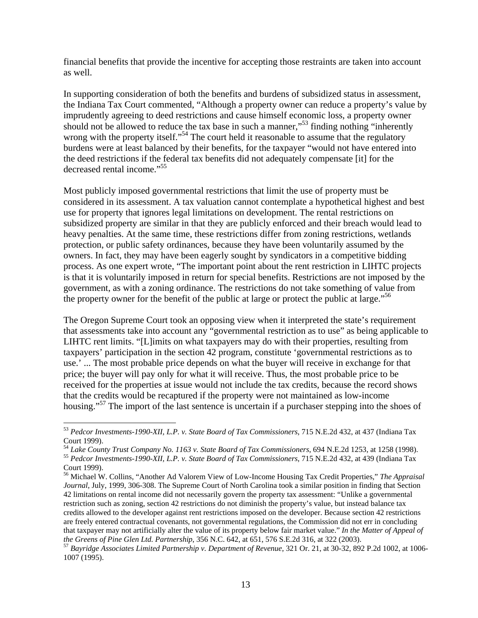financial benefits that provide the incentive for accepting those restraints are taken into account as well.

In supporting consideration of both the benefits and burdens of subsidized status in assessment, the Indiana Tax Court commented, "Although a property owner can reduce a property's value by imprudently agreeing to deed restrictions and cause himself economic loss, a property owner should not be allowed to reduce the tax base in such a manner,"<sup>53</sup> finding nothing "inherently" wrong with the property itself."<sup>54</sup> The court held it reasonable to assume that the regulatory burdens were at least balanced by their benefits, for the taxpayer "would not have entered into the deed restrictions if the federal tax benefits did not adequately compensate [it] for the decreased rental income."55

Most publicly imposed governmental restrictions that limit the use of property must be considered in its assessment. A tax valuation cannot contemplate a hypothetical highest and best use for property that ignores legal limitations on development. The rental restrictions on subsidized property are similar in that they are publicly enforced and their breach would lead to heavy penalties. At the same time, these restrictions differ from zoning restrictions, wetlands protection, or public safety ordinances, because they have been voluntarily assumed by the owners. In fact, they may have been eagerly sought by syndicators in a competitive bidding process. As one expert wrote, "The important point about the rent restriction in LIHTC projects is that it is voluntarily imposed in return for special benefits. Restrictions are not imposed by the government, as with a zoning ordinance. The restrictions do not take something of value from the property owner for the benefit of the public at large or protect the public at large."<sup>56</sup>

The Oregon Supreme Court took an opposing view when it interpreted the state's requirement that assessments take into account any "governmental restriction as to use" as being applicable to LIHTC rent limits. "[L]imits on what taxpayers may do with their properties, resulting from taxpayers' participation in the section 42 program, constitute 'governmental restrictions as to use.' ... The most probable price depends on what the buyer will receive in exchange for that price; the buyer will pay only for what it will receive. Thus, the most probable price to be received for the properties at issue would not include the tax credits, because the record shows that the credits would be recaptured if the property were not maintained as low-income housing."<sup>57</sup> The import of the last sentence is uncertain if a purchaser stepping into the shoes of

<sup>53</sup> *Pedcor Investments-1990-XII, L.P. v. State Board of Tax Commissioners*, 715 N.E.2d 432, at 437 (Indiana Tax Court 1999).

<sup>&</sup>lt;sup>54</sup> Lake County Trust Company No. 1163 v. State Board of Tax Commissioners, 694 N.E.2d 1253, at 1258 (1998).<br><sup>55</sup> Pedcor Investments-1990-XII, L.P. v. State Board of Tax Commissioners, 715 N.E.2d 432, at 439 (Indiana Tax Court 1999).

<sup>56</sup> Michael W. Collins, "Another Ad Valorem View of Low-Income Housing Tax Credit Properties," *The Appraisal Journal*, July, 1999, 306-308. The Supreme Court of North Carolina took a similar position in finding that Section 42 limitations on rental income did not necessarily govern the property tax assessment: "Unlike a governmental restriction such as zoning, section 42 restrictions do not diminish the property's value, but instead balance tax credits allowed to the developer against rent restrictions imposed on the developer. Because section 42 restrictions are freely entered contractual covenants, not governmental regulations, the Commission did not err in concluding that taxpayer may not artificially alter the value of its property below fair market value." *In the Matter of Appeal of the Greens of Pine Glen Ltd. Partnership*, 356 N.C. 642, at 651, 576 S.E.2d 316, at 322 (2003).<br><sup>57</sup> *Bayridge Associates Limited Partnership v. Department of Revenue*, 321 Or. 21, at 30-32, 892 P.2d 1002, at 1006-

<sup>1007 (1995).</sup>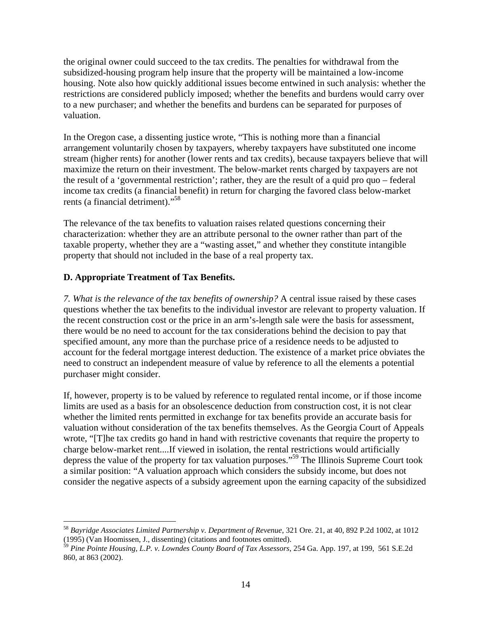the original owner could succeed to the tax credits. The penalties for withdrawal from the subsidized-housing program help insure that the property will be maintained a low-income housing. Note also how quickly additional issues become entwined in such analysis: whether the restrictions are considered publicly imposed; whether the benefits and burdens would carry over to a new purchaser; and whether the benefits and burdens can be separated for purposes of valuation.

In the Oregon case, a dissenting justice wrote, "This is nothing more than a financial arrangement voluntarily chosen by taxpayers, whereby taxpayers have substituted one income stream (higher rents) for another (lower rents and tax credits), because taxpayers believe that will maximize the return on their investment. The below-market rents charged by taxpayers are not the result of a 'governmental restriction'; rather, they are the result of a quid pro quo – federal income tax credits (a financial benefit) in return for charging the favored class below-market rents (a financial detriment)."58

The relevance of the tax benefits to valuation raises related questions concerning their characterization: whether they are an attribute personal to the owner rather than part of the taxable property, whether they are a "wasting asset," and whether they constitute intangible property that should not included in the base of a real property tax.

## **D. Appropriate Treatment of Tax Benefits.**

<u>.</u>

*7. What is the relevance of the tax benefits of ownership?* A central issue raised by these cases questions whether the tax benefits to the individual investor are relevant to property valuation. If the recent construction cost or the price in an arm's-length sale were the basis for assessment, there would be no need to account for the tax considerations behind the decision to pay that specified amount, any more than the purchase price of a residence needs to be adjusted to account for the federal mortgage interest deduction. The existence of a market price obviates the need to construct an independent measure of value by reference to all the elements a potential purchaser might consider.

If, however, property is to be valued by reference to regulated rental income, or if those income limits are used as a basis for an obsolescence deduction from construction cost, it is not clear whether the limited rents permitted in exchange for tax benefits provide an accurate basis for valuation without consideration of the tax benefits themselves. As the Georgia Court of Appeals wrote, "[T]he tax credits go hand in hand with restrictive covenants that require the property to charge below-market rent....If viewed in isolation, the rental restrictions would artificially depress the value of the property for tax valuation purposes."59 The Illinois Supreme Court took a similar position: "A valuation approach which considers the subsidy income, but does not consider the negative aspects of a subsidy agreement upon the earning capacity of the subsidized

<sup>58</sup> *Bayridge Associates Limited Partnership v. Department of Revenue*, 321 Ore. 21, at 40, 892 P.2d 1002, at 1012 (1995) (Van Hoomissen, J., dissenting) (citations and footnotes omitted).

<sup>59</sup> *Pine Pointe Housing, L.P. v. Lowndes County Board of Tax Assessors*, 254 Ga. App. 197, at 199, 561 S.E.2d 860, at 863 (2002).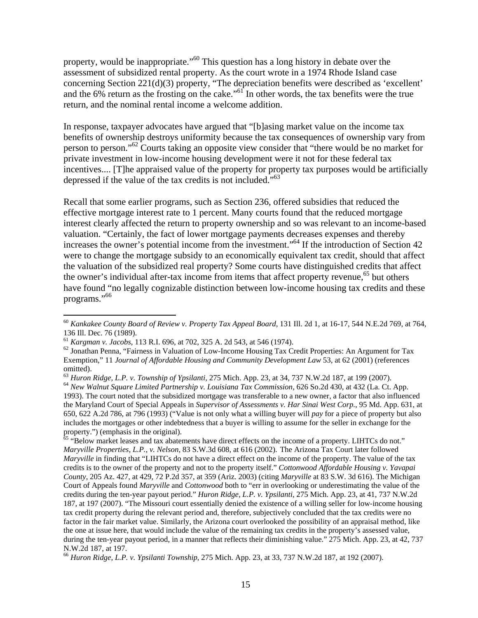property, would be inappropriate."<sup>60</sup> This question has a long history in debate over the assessment of subsidized rental property. As the court wrote in a 1974 Rhode Island case concerning Section 221(d)(3) property, "The depreciation benefits were described as 'excellent' and the  $6\%$  return as the frosting on the cake."<sup>61</sup> In other words, the tax benefits were the true return, and the nominal rental income a welcome addition.

In response, taxpayer advocates have argued that "[b]asing market value on the income tax benefits of ownership destroys uniformity because the tax consequences of ownership vary from person to person."62 Courts taking an opposite view consider that "there would be no market for private investment in low-income housing development were it not for these federal tax incentives.... [T]he appraised value of the property for property tax purposes would be artificially depressed if the value of the tax credits is not included."<sup>63</sup>

Recall that some earlier programs, such as Section 236, offered subsidies that reduced the effective mortgage interest rate to 1 percent. Many courts found that the reduced mortgage interest clearly affected the return to property ownership and so was relevant to an income-based valuation. "Certainly, the fact of lower mortgage payments decreases expenses and thereby increases the owner's potential income from the investment."64 If the introduction of Section 42 were to change the mortgage subsidy to an economically equivalent tax credit, should that affect the valuation of the subsidized real property? Some courts have distinguished credits that affect the owner's individual after-tax income from items that affect property revenue,  $65$  but others have found "no legally cognizable distinction between low-income housing tax credits and these programs."<sup>66</sup>

<sup>60</sup> *Kankakee County Board of Review v. Property Tax Appeal Board*, 131 Ill. 2d 1, at 16-17, 544 N.E.2d 769, at 764, 136 Ill. Dec. 76 (1989).<br><sup>61</sup> Kargman v. Jacobs, 113 R.I. 696, at 702, 325 A. 2d 543, at 546 (1974).

<sup>&</sup>lt;sup>62</sup> Jonathan Penna, "Fairness in Valuation of Low-Income Housing Tax Credit Properties: An Argument for Tax Exemption," 11 *Journal of Affordable Housing and Community Development Law* 53, at 62 (2001) (references omitted).<br><sup>63</sup> Huron Ridge, L.P. v. Township of Ypsilanti, 275 Mich. App. 23, at 34, 737 N.W.2d 187, at 199 (2007).

<sup>&</sup>lt;sup>64</sup> New Walnut Square Limited Partnership v. Louisiana Tax Commission, 626 So.2d 430, at 432 (La. Ct. App. 1993). The court noted that the subsidized mortgage was transferable to a new owner, a factor that also influenced the Maryland Court of Special Appeals in *Supervisor of Assessments v. Har Sinai West Corp.*, 95 Md. App. 631, at 650, 622 A.2d 786, at 796 (1993) ("Value is not only what a willing buyer will *pay* for a piece of property but also includes the mortgages or other indebtedness that a buyer is willing to assume for the seller in exchange for the property.") (emphasis in the original).

<sup>&</sup>lt;sup>65</sup> "Below market leases and tax abatements have direct effects on the income of a property. LIHTCs do not." *Maryville Properties, L.P., v. Nelson*, 83 S.W.3d 608, at 616 (2002). The Arizona Tax Court later followed *Maryville* in finding that "LIHTCs do not have a direct effect on the income of the property. The value of the tax credits is to the owner of the property and not to the property itself." *Cottonwood Affordable Housing v. Yavapai County*, 205 Az. 427, at 429, 72 P.2d 357, at 359 (Ariz. 2003) (citing *Maryville* at 83 S.W. 3d 616). The Michigan Court of Appeals found *Maryville* and *Cottonwood* both to "err in overlooking or underestimating the value of the credits during the ten-year payout period." *Huron Ridge, L.P. v. Ypsilanti*, 275 Mich. App. 23, at 41, 737 N.W.2d 187, at 197 (2007). "The Missouri court essentially denied the existence of a willing seller for low-income housing tax credit property during the relevant period and, therefore, subjectively concluded that the tax credits were no factor in the fair market value. Similarly, the Arizona court overlooked the possibility of an appraisal method, like the one at issue here, that would include the value of the remaining tax credits in the property's assessed value, during the ten-year payout period, in a manner that reflects their diminishing value." 275 Mich. App. 23, at 42, 737 N.W.2d 187, at 197.

<sup>66</sup> *Huron Ridge, L.P. v. Ypsilanti Township*, 275 Mich. App. 23, at 33, 737 N.W.2d 187, at 192 (2007).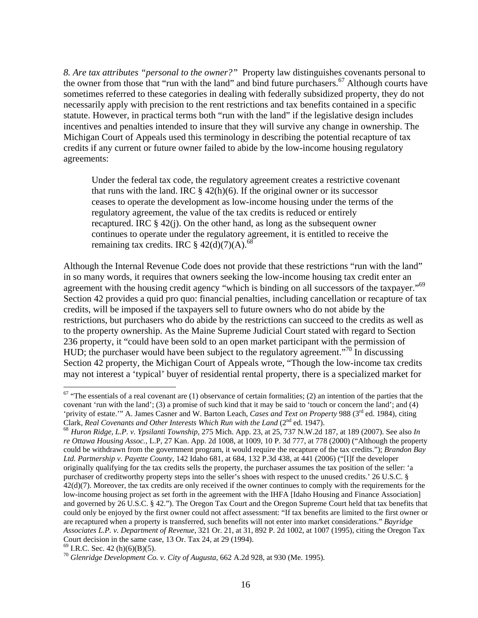*8. Are tax attributes "personal to the owner?"* Property law distinguishes covenants personal to the owner from those that "run with the land" and bind future purchasers.<sup>67</sup> Although courts have sometimes referred to these categories in dealing with federally subsidized property, they do not necessarily apply with precision to the rent restrictions and tax benefits contained in a specific statute. However, in practical terms both "run with the land" if the legislative design includes incentives and penalties intended to insure that they will survive any change in ownership. The Michigan Court of Appeals used this terminology in describing the potential recapture of tax credits if any current or future owner failed to abide by the low-income housing regulatory agreements:

Under the federal tax code, the regulatory agreement creates a restrictive covenant that runs with the land. IRC  $\S$  42(h)(6). If the original owner or its successor ceases to operate the development as low-income housing under the terms of the regulatory agreement, the value of the tax credits is reduced or entirely recaptured. IRC § 42(j). On the other hand, as long as the subsequent owner continues to operate under the regulatory agreement, it is entitled to receive the remaining tax credits. IRC  $\S$  42(d)(7)(A).<sup>68</sup>

Although the Internal Revenue Code does not provide that these restrictions "run with the land" in so many words, it requires that owners seeking the low-income housing tax credit enter an agreement with the housing credit agency "which is binding on all successors of the taxpayer."<sup>69</sup> Section 42 provides a quid pro quo: financial penalties, including cancellation or recapture of tax credits, will be imposed if the taxpayers sell to future owners who do not abide by the restrictions, but purchasers who do abide by the restrictions can succeed to the credits as well as to the property ownership. As the Maine Supreme Judicial Court stated with regard to Section 236 property, it "could have been sold to an open market participant with the permission of HUD; the purchaser would have been subject to the regulatory agreement.<sup> $170$ </sup> In discussing Section 42 property, the Michigan Court of Appeals wrote, "Though the low-income tax credits may not interest a 'typical' buyer of residential rental property, there is a specialized market for

 $67$  "The essentials of a real covenant are (1) observance of certain formalities; (2) an intention of the parties that the covenant 'run with the land'; (3) a promise of such kind that it may be said to 'touch or concern the land'; and (4) 'privity of estate.'" A. James Casner and W. Barton Leach, *Cases and Text on Property* 988 (3rd ed. 1984), citing Clark, *Real Covenants and Other Interests Which Run with the Land* (2<sup>nd</sup> ed. 1947).<br><sup>68</sup> *Huron Ridge, L.P. v. Ypsilanti Township*, 275 Mich. App. 23, at 25, 737 N.W.2d 187, at 189 (2007). See also *In* 

*re Ottawa Housing Assoc.*, L.P, 27 Kan. App. 2d 1008, at 1009, 10 P. 3d 777, at 778 (2000) ("Although the property could be withdrawn from the government program, it would require the recapture of the tax credits."); *Brandon Bay Ltd. Partnership v. Payette County*, 142 Idaho 681, at 684, 132 P.3d 438, at 441 (2006) ("[I]f the developer originally qualifying for the tax credits sells the property, the purchaser assumes the tax position of the seller: 'a purchaser of creditworthy property steps into the seller's shoes with respect to the unused credits.' 26 U.S.C. §  $42(d)(7)$ . Moreover, the tax credits are only received if the owner continues to comply with the requirements for the low-income housing project as set forth in the agreement with the IHFA [Idaho Housing and Finance Association] and governed by 26 U.S.C. § 42."). The Oregon Tax Court and the Oregon Supreme Court held that tax benefits that could only be enjoyed by the first owner could not affect assessment: "If tax benefits are limited to the first owner or are recaptured when a property is transferred, such benefits will not enter into market considerations." *Bayridge Associates L.P. v. Department of Revenue*, 321 Or. 21, at 31, 892 P. 2d 1002, at 1007 (1995), citing the Oregon Tax Court decision in the same case, 13 Or. Tax 24, at 29 (1994). <sup>69</sup> I.R.C. Sec. 42 (h)(6)(B)(5).

<sup>70</sup> *Glenridge Development Co. v. City of Augusta*, 662 A.2d 928, at 930 (Me. 1995).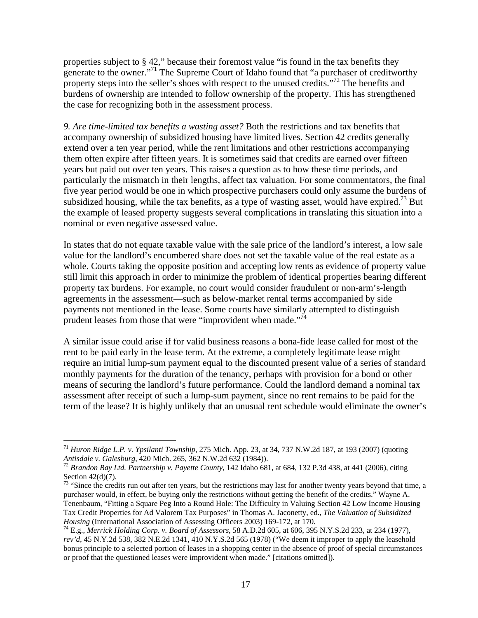properties subject to § 42," because their foremost value "is found in the tax benefits they generate to the owner."<sup>71</sup> The Supreme Court of Idaho found that "a purchaser of creditworthy property steps into the seller's shoes with respect to the unused credits."<sup>72</sup> The benefits and burdens of ownership are intended to follow ownership of the property. This has strengthened the case for recognizing both in the assessment process.

*9. Are time-limited tax benefits a wasting asset?* Both the restrictions and tax benefits that accompany ownership of subsidized housing have limited lives. Section 42 credits generally extend over a ten year period, while the rent limitations and other restrictions accompanying them often expire after fifteen years. It is sometimes said that credits are earned over fifteen years but paid out over ten years. This raises a question as to how these time periods, and particularly the mismatch in their lengths, affect tax valuation. For some commentators, the final five year period would be one in which prospective purchasers could only assume the burdens of subsidized housing, while the tax benefits, as a type of wasting asset, would have expired.<sup>73</sup> But the example of leased property suggests several complications in translating this situation into a nominal or even negative assessed value.

In states that do not equate taxable value with the sale price of the landlord's interest, a low sale value for the landlord's encumbered share does not set the taxable value of the real estate as a whole. Courts taking the opposite position and accepting low rents as evidence of property value still limit this approach in order to minimize the problem of identical properties bearing different property tax burdens. For example, no court would consider fraudulent or non-arm's-length agreements in the assessment—such as below-market rental terms accompanied by side payments not mentioned in the lease. Some courts have similarly attempted to distinguish prudent leases from those that were "improvident when made."<sup> $74$ </sup>

A similar issue could arise if for valid business reasons a bona-fide lease called for most of the rent to be paid early in the lease term. At the extreme, a completely legitimate lease might require an initial lump-sum payment equal to the discounted present value of a series of standard monthly payments for the duration of the tenancy, perhaps with provision for a bond or other means of securing the landlord's future performance. Could the landlord demand a nominal tax assessment after receipt of such a lump-sum payment, since no rent remains to be paid for the term of the lease? It is highly unlikely that an unusual rent schedule would eliminate the owner's

<sup>&</sup>lt;sup>71</sup> *Huron Ridge L.P. v. Ypsilanti Township*, 275 Mich. App. 23, at 34, 737 N.W.2d 187, at 193 (2007) (quoting *Antisdale v. Galesburg*, 420 Mich. 265, 362 N.W.2d 632 (1984)).

<sup>&</sup>lt;sup>72</sup> Brandon Bay Ltd. Partnership v. Payette County, 142 Idaho 681, at 684, 132 P.3d 438, at 441 (2006), citing Section  $42(d)(7)$ .

<sup>&</sup>lt;sup>73</sup> "Since the credits run out after ten years, but the restrictions may last for another twenty years beyond that time, a purchaser would, in effect, be buying only the restrictions without getting the benefit of the credits." Wayne A. Tenenbaum, "Fitting a Square Peg Into a Round Hole: The Difficulty in Valuing Section 42 Low Income Housing Tax Credit Properties for Ad Valorem Tax Purposes" in Thomas A. Jaconetty, ed., *The Valuation of Subsidized Housing* (International Association of Assessing Officers 2003) 169-172, at 170.<br><sup>74</sup> E.g., *Merrick Holding Corp. v. Board of Assessors*, 58 A.D.2d 605, at 606, 395 N.Y.S.2d 233, at 234 (1977),

*rev'd,* 45 N.Y.2d 538, 382 N.E.2d 1341, 410 N.Y.S.2d 565 (1978) ("We deem it improper to apply the leasehold bonus principle to a selected portion of leases in a shopping center in the absence of proof of special circumstances or proof that the questioned leases were improvident when made." [citations omitted]).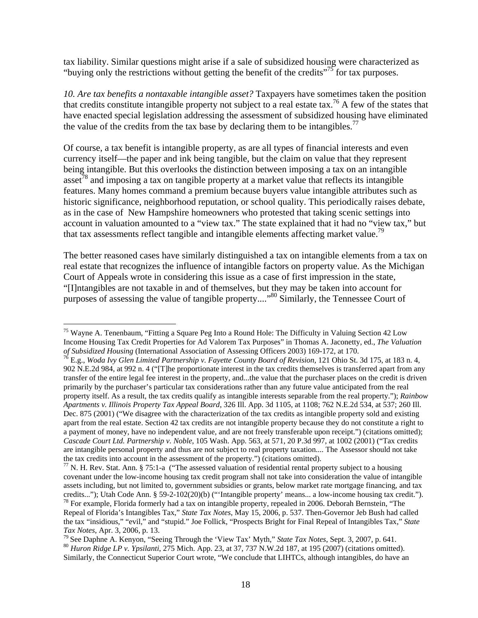tax liability. Similar questions might arise if a sale of subsidized housing were characterized as "buying only the restrictions without getting the benefit of the credits"<sup>75</sup> for tax purposes.

*10. Are tax benefits a nontaxable intangible asset?* Taxpayers have sometimes taken the position that credits constitute intangible property not subject to a real estate tax.76 A few of the states that have enacted special legislation addressing the assessment of subsidized housing have eliminated the value of the credits from the tax base by declaring them to be intangibles.<sup>77</sup>

Of course, a tax benefit is intangible property, as are all types of financial interests and even currency itself—the paper and ink being tangible, but the claim on value that they represent being intangible. But this overlooks the distinction between imposing a tax on an intangible asset<sup>78</sup> and imposing a tax on tangible property at a market value that reflects its intangible features. Many homes command a premium because buyers value intangible attributes such as historic significance, neighborhood reputation, or school quality. This periodically raises debate, as in the case of New Hampshire homeowners who protested that taking scenic settings into account in valuation amounted to a "view tax." The state explained that it had no "view tax," but that tax assessments reflect tangible and intangible elements affecting market value.<sup>79</sup>

The better reasoned cases have similarly distinguished a tax on intangible elements from a tax on real estate that recognizes the influence of intangible factors on property value. As the Michigan Court of Appeals wrote in considering this issue as a case of first impression in the state, "[I]ntangibles are not taxable in and of themselves, but they may be taken into account for purposes of assessing the value of tangible property...."<sup>80</sup> Similarly, the Tennessee Court of

<sup>&</sup>lt;sup>75</sup> Wayne A. Tenenbaum, "Fitting a Square Peg Into a Round Hole: The Difficulty in Valuing Section 42 Low Income Housing Tax Credit Properties for Ad Valorem Tax Purposes" in Thomas A. Jaconetty, ed., *The Valuation of Subsidized Housing* (International Association of Assessing Officers 2003) 169-172, at 170. 76 E.g., *Woda Ivy Glen Limited Partnership v. Fayette County Board of Revision*, 121 Ohio St. 3d 175, at 183 n. 4,

<sup>902</sup> N.E.2d 984, at 992 n. 4 ("[T]he proportionate interest in the tax credits themselves is transferred apart from any transfer of the entire legal fee interest in the property, and...the value that the purchaser places on the credit is driven primarily by the purchaser's particular tax considerations rather than any future value anticipated from the real property itself. As a result, the tax credits qualify as intangible interests separable from the real property."); *Rainbow Apartments v. Illinois Property Tax Appeal Board*, 326 Ill. App. 3d 1105, at 1108; 762 N.E.2d 534, at 537; 260 Ill. Dec. 875 (2001) ("We disagree with the characterization of the tax credits as intangible property sold and existing apart from the real estate. Section 42 tax credits are not intangible property because they do not constitute a right to a payment of money, have no independent value, and are not freely transferable upon receipt.") (citations omitted); *Cascade Court Ltd. Partnership v. Noble*, 105 Wash. App. 563, at 571, 20 P.3d 997, at 1002 (2001) ("Tax credits are intangible personal property and thus are not subject to real property taxation.... The Assessor should not take the tax credits into account in the assessment of the property.") (citations omitted).<br><sup>77</sup> N. H. Rev. Stat. Ann. § 75:1-a ("The assessed valuation of residential rental property subject to a housing

covenant under the low-income housing tax credit program shall not take into consideration the value of intangible assets including, but not limited to, government subsidies or grants, below market rate mortgage financing, and tax credits..."); Utah Code Ann. § 59-2-102(20)(b) ("'Intangible property' means... a low-income housing tax credit."). <sup>78</sup> For example, Florida formerly had a tax on intangible property, repealed in 2006. Deborah Bernstein, "The Repeal of Florida's Intangibles Tax," *State Tax Notes*, May 15, 2006, p. 537. Then-Governor Jeb Bush had called the tax "insidious," "evil," and "stupid." Joe Follick, "Prospects Bright for Final Repeal of Intangibles Tax," *State* 

Tax Notes, Apr. 3, 2006, p. 13.<br><sup>79</sup> See Daphne A. Kenyon, "Seeing Through the 'View Tax' Myth," *State Tax Notes*, Sept. 3, 2007, p. 641.<br><sup>80</sup> Huron Ridge LP v. Ypsilanti, 275 Mich. App. 23, at 37, 737 N.W.2d 187, at 195 Similarly, the Connecticut Superior Court wrote, "We conclude that LIHTCs, although intangibles, do have an